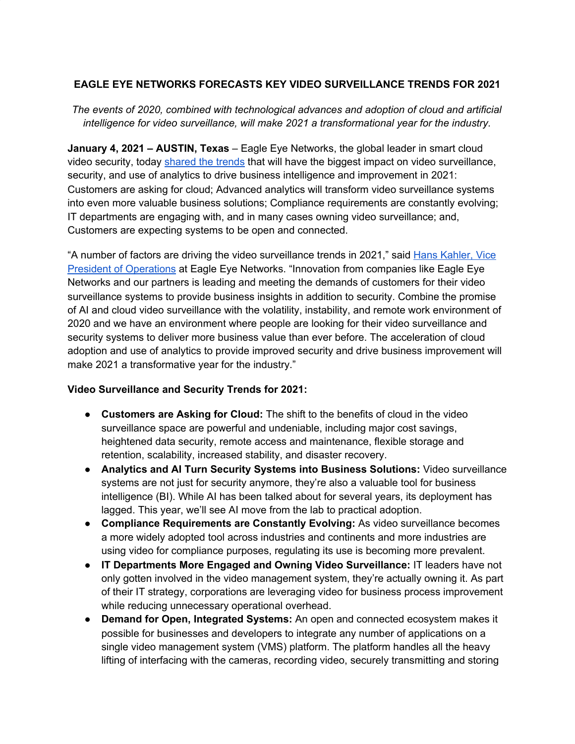# **EAGLE EYE NETWORKS FORECASTS KEY VIDEO SURVEILLANCE TRENDS FOR 2021**

*The events of 2020, combined with technological advances and adoption of cloud and artificial intelligence for video surveillance, will make 2021 a transformational year for the industry.*

**January 4, 2021 – AUSTIN, Texas** – Eagle Eye Networks, the global leader in smart cloud video security, today [shared](https://www.een.com/2021-trends/) the trends that will have the biggest impact on video surveillance, security, and use of analytics to drive business intelligence and improvement in 2021: Customers are asking for cloud; Advanced analytics will transform video surveillance systems into even more valuable business solutions; Compliance requirements are constantly evolving; IT departments are engaging with, and in many cases owning video surveillance; and, Customers are expecting systems to be open and connected.

"A number of factors are driving the video surveillance trends in 2021," said Hans [Kahler,](https://www.een.com/2021-trends/) Vice President of [Operations](https://www.een.com/2021-trends/) at Eagle Eye Networks. "Innovation from companies like Eagle Eye Networks and our partners is leading and meeting the demands of customers for their video surveillance systems to provide business insights in addition to security. Combine the promise of AI and cloud video surveillance with the volatility, instability, and remote work environment of 2020 and we have an environment where people are looking for their video surveillance and security systems to deliver more business value than ever before. The acceleration of cloud adoption and use of analytics to provide improved security and drive business improvement will make 2021 a transformative year for the industry."

# **Video Surveillance and Security Trends for 2021:**

- **Customers are Asking for Cloud:** The shift to the benefits of cloud in the video surveillance space are powerful and undeniable, including major cost savings, heightened data security, remote access and maintenance, flexible storage and retention, scalability, increased stability, and disaster recovery.
- **Analytics and AI Turn Security Systems into Business Solutions:** Video surveillance systems are not just for security anymore, they're also a valuable tool for business intelligence (BI). While AI has been talked about for several years, its deployment has lagged. This year, we'll see AI move from the lab to practical adoption.
- **Compliance Requirements are Constantly Evolving:** As video surveillance becomes a more widely adopted tool across industries and continents and more industries are using video for compliance purposes, regulating its use is becoming more prevalent.
- **IT Departments More Engaged and Owning Video Surveillance:** IT leaders have not only gotten involved in the video management system, they're actually owning it. As part of their IT strategy, corporations are leveraging video for business process improvement while reducing unnecessary operational overhead.
- **Demand for Open, Integrated Systems:** An open and connected ecosystem makes it possible for businesses and developers to integrate any number of applications on a single video management system (VMS) platform. The platform handles all the heavy lifting of interfacing with the cameras, recording video, securely transmitting and storing